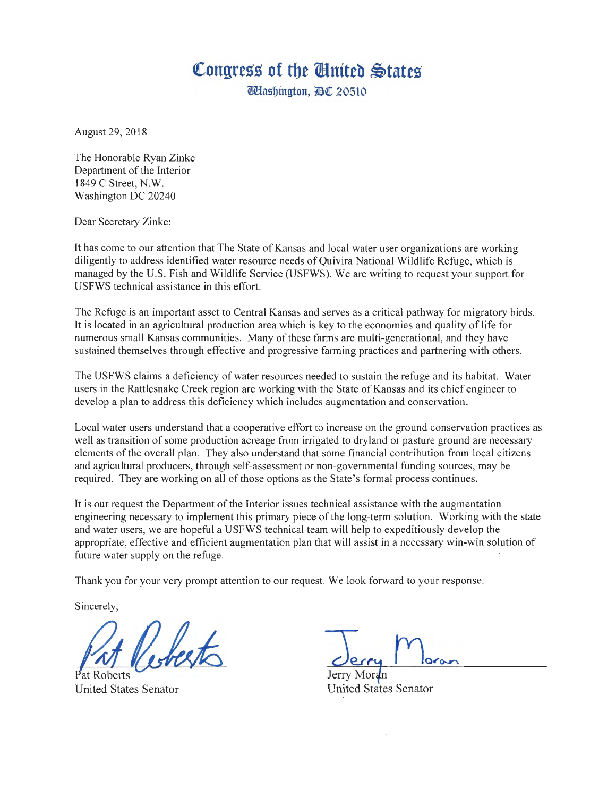## Congress of the *United* States

**Washington,** *DC* 20510

August 29, 2018

The Honorable Ryan Zinke Department of the Interior 1849 C Street, N.W. Washington DC 20240

Dear Secretary Zinke:

It has come to our attention that The State of Kansas and local water user organizations are working diligently to address identified water resource needs of Quivira National Wildlife Refuge, which is managed by the U.S. Fish and Wildlife Service (USFWS). We are writing to request your support for USFWS technical assistance in this effort.

The Refuge is an important asset to Central Kansas and serves as a critical pathway for migratory birds. It is located in an agricultural production area which is key to the economies and quality of life for numerous small Kansas communities. Many of these farms are multi-generational, and they have sustained themselves through effective and progressive farming practices and partnering with others.

The USFWS claims a deficiency of water resources needed to sustain the refuge and its habitat. Water users in the Rattlesnake Creek region are working with the State of Kansas and its chief engineer to develop a plan to address this deficiency which includes augmentation and conservation.

Local water users understand that a cooperative effort to increase on the ground conservation practices as well as transition of some production acreage from irrigated to dry land or pasture ground are necessary elements of the overall plan. They also understand that some financial contribution from local citizens and agricultural producers, through self-assessment or non-governmental funding sources, may be required. They are working on all of those options as the State's formal process continues.

It is our request the Department of the Interior issues technical assistance with the augmentation engineering necessary to implement this primary piece of the long-term solution. Working with the state and water users, we are hopeful a USFWS technical team will help to expeditiously develop the appropriate, effective and efficient augmentation plan that will assist in a necessary win-win solution of future water supply on the refuge.

Thank you for your very prompt attention to our request. We look forward to your response.

Sincerely,

Roberts United States Senator

Jerry Moran **United States Senator**